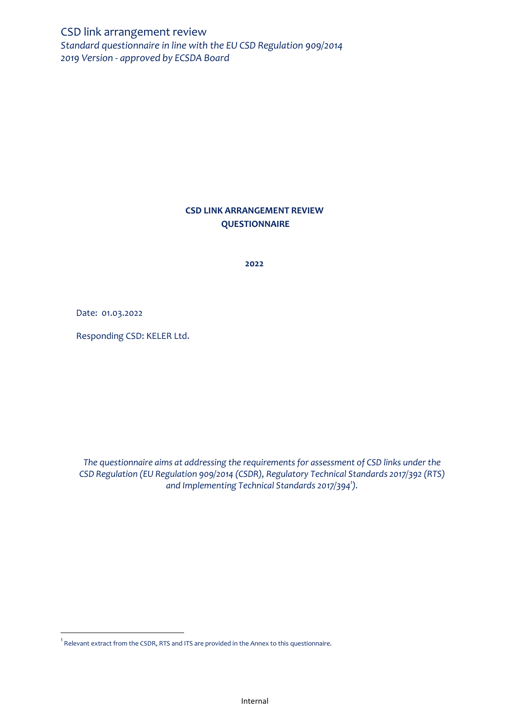CSD link arrangement review *Standard questionnaire in line with the EU CSD Regulation 909/2014 2019 Version - approved by ECSDA Board* 

## **CSD LINK ARRANGEMENT REVIEW QUESTIONNAIRE**

**2022**

Date: 01.03.2022

 $\overline{\phantom{a}}$ 

Responding CSD: KELER Ltd.

*The questionnaire aims at addressing the requirements for assessment of CSD links under the CSD Regulation (EU Regulation 909/2014 (CSDR), Regulatory Technical Standards 2017/392 (RTS) and Implementing Technical Standards 2017/394<sup>1</sup> ).*

 $^{\rm 1}$  Relevant extract from the CSDR, RTS and ITS are provided in the Annex to this questionnaire.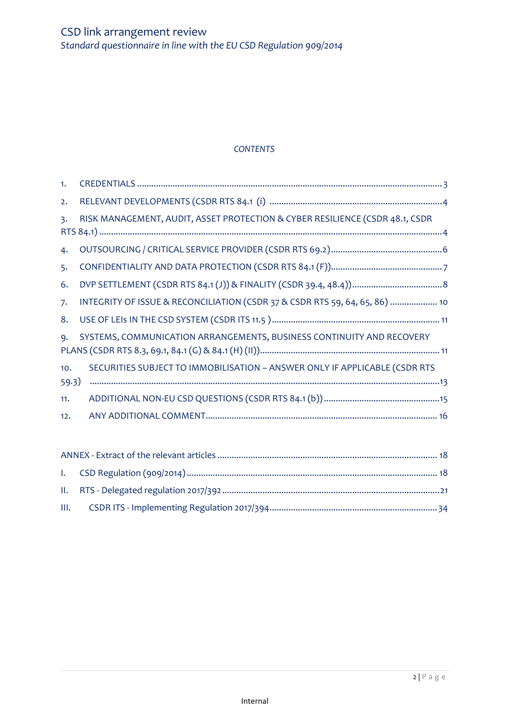# *CONTENTS*

| 1.             |                                                                              |
|----------------|------------------------------------------------------------------------------|
| 2.             |                                                                              |
| $\mathsf{B}$ . | RISK MANAGEMENT, AUDIT, ASSET PROTECTION & CYBER RESILIENCE (CSDR 48.1, CSDR |
|                |                                                                              |
| 4.             |                                                                              |
| 5.             |                                                                              |
| 6.             |                                                                              |
| 7.             | INTEGRITY OF ISSUE & RECONCILIATION (CSDR 37 & CSDR RTS 59, 64, 65, 86)  10  |
| 8.             |                                                                              |
| 9.             | SYSTEMS, COMMUNICATION ARRANGEMENTS, BUSINESS CONTINUITY AND RECOVERY        |
|                |                                                                              |
| 10.            | SECURITIES SUBJECT TO IMMOBILISATION - ANSWER ONLY IF APPLICABLE (CSDR RTS   |
| 59.3)          |                                                                              |
| 11.            |                                                                              |
| 12.            |                                                                              |
|                |                                                                              |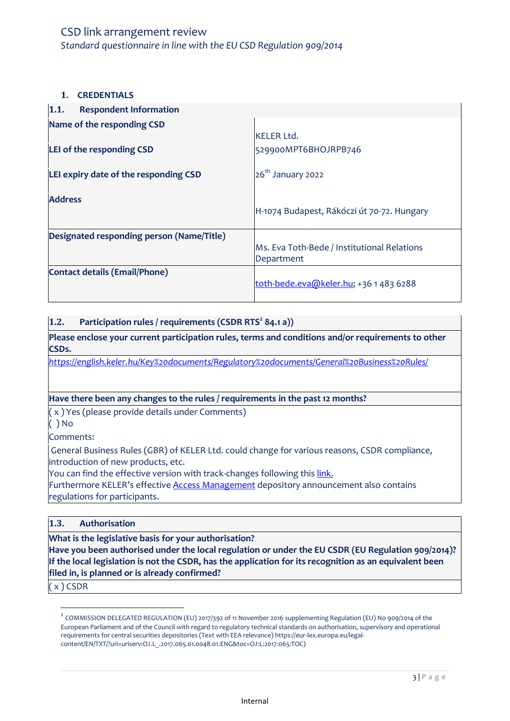# CSD link arrangement review *Standard questionnaire in line with the EU CSD Regulation 909/2014*

#### <span id="page-2-0"></span>**1. CREDENTIALS**

| 1.1.<br><b>Respondent Information</b>     |                                                           |
|-------------------------------------------|-----------------------------------------------------------|
| Name of the responding CSD                |                                                           |
|                                           | <b>KELER Ltd.</b>                                         |
| LEI of the responding CSD                 | 529900MPT6BHOJRPB746                                      |
| LEI expiry date of the responding CSD     | 26 <sup>th</sup> January 2022                             |
| <b>Address</b>                            | H-1074 Budapest, Rákóczi út 70-72. Hungary                |
| Designated responding person (Name/Title) |                                                           |
|                                           | Ms. Eva Toth-Bede / Institutional Relations<br>Department |
| <b>Contact details (Email/Phone)</b>      | toth-bede.eva@keler.hu; +36 1 483 6288                    |

#### **1.2. Participation rules / requirements (CSDR RTS<sup>2</sup> 84.1 a))**

**Please enclose your current participation rules, terms and conditions and/or requirements to other CSDs.** 

*<https://english.keler.hu/Key%20documents/Regulatory%20documents/General%20Business%20Rules/>*

#### **Have there been any changes to the rules / requirements in the past 12 months?**

( x ) Yes (please provide details under Comments)

( ) No

Comments:

General Business Rules (GBR) of KELER Ltd. could change for various reasons, CSDR compliance, introduction of new products, etc.

You can find the effective version with track-changes following this [link.](https://english.keler.hu/Key%20documents/Regulatory%20documents/General%20Business%20Rules/)

Furthermore KELER's effective [Access Management](https://english.keler.hu/Key%20documents/Depository%20Announcements/KELER%20Announcement%20-%20Access%20Management/) depository announcement also contains regulations for participants.

## **1.3. Authorisation**

**What is the legislative basis for your authorisation?** 

**Have you been authorised under the local regulation or under the EU CSDR (EU Regulation 909/2014)? If the local legislation is not the CSDR, has the application for its recognition as an equivalent been filed in, is planned or is already confirmed?**

( x ) CSDR

 $\overline{\phantom{a}}$ 

 $^2$  COMMISSION DELEGATED REGULATION (EU) 2017/392 of 11 November 2016 supplementing Regulation (EU) No 909/2014 of the European Parliament and of the Council with regard to regulatory technical standards on authorisation, supervisory and operational requirements for central securities depositories (Text with EEA relevance) https://eur-lex.europa.eu/legalcontent/EN/TXT/?uri=uriserv:OJ.L\_.2017.065.01.0048.01.ENG&toc=OJ:L:2017:065:TOC)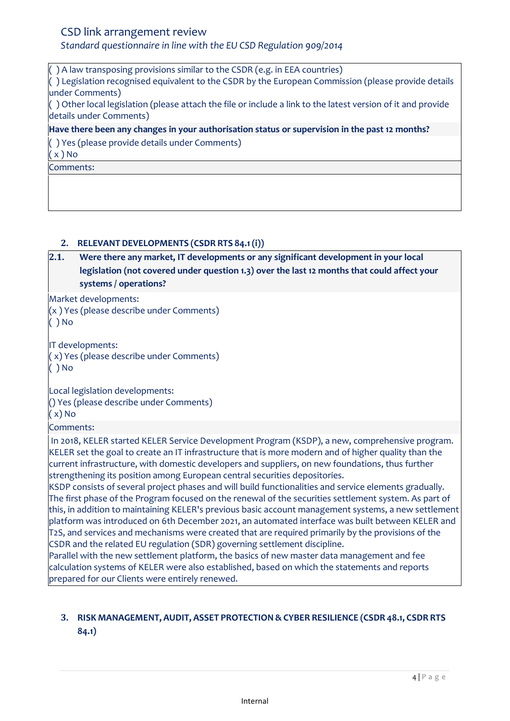## *Standard questionnaire in line with the EU CSD Regulation 909/2014*

( ) A law transposing provisions similar to the CSDR (e.g. in EEA countries) ( ) Legislation recognised equivalent to the CSDR by the European Commission (please provide details under Comments) ( ) Other local legislation (please attach the file or include a link to the latest version of it and provide details under Comments) **Have there been any changes in your authorisation status or supervision in the past 12 months?** ( ) Yes (please provide details under Comments)  $(x)$  No Comments:

## <span id="page-3-0"></span>**2. RELEVANT DEVELOPMENTS (CSDR RTS 84.1(i))**

## **2.1. Were there any market, IT developments or any significant development in your local legislation (not covered under question 1.3) over the last 12 months that could affect your systems / operations?**

Market developments:

(x ) Yes (please describe under Comments) ( ) No

IT developments: ( x) Yes (please describe under Comments) ( ) No

Local legislation developments: () Yes (please describe under Comments) ( x) No

Comments:

In 2018, KELER started KELER Service Development Program (KSDP), a new, comprehensive program. KELER set the goal to create an IT infrastructure that is more modern and of higher quality than the current infrastructure, with domestic developers and suppliers, on new foundations, thus further strengthening its position among European central securities depositories.

KSDP consists of several project phases and will build functionalities and service elements gradually. The first phase of the Program focused on the renewal of the securities settlement system. As part of this, in addition to maintaining KELER's previous basic account management systems, a new settlement platform was introduced on 6th December 2021, an automated interface was built between KELER and T2S, and services and mechanisms were created that are required primarily by the provisions of the CSDR and the related EU regulation (SDR) governing settlement discipline.

Parallel with the new settlement platform, the basics of new master data management and fee calculation systems of KELER were also established, based on which the statements and reports prepared for our Clients were entirely renewed.

## <span id="page-3-1"></span>**3. RISK MANAGEMENT, AUDIT, ASSET PROTECTION& CYBER RESILIENCE (CSDR 48.1, CSDR RTS 84.1)**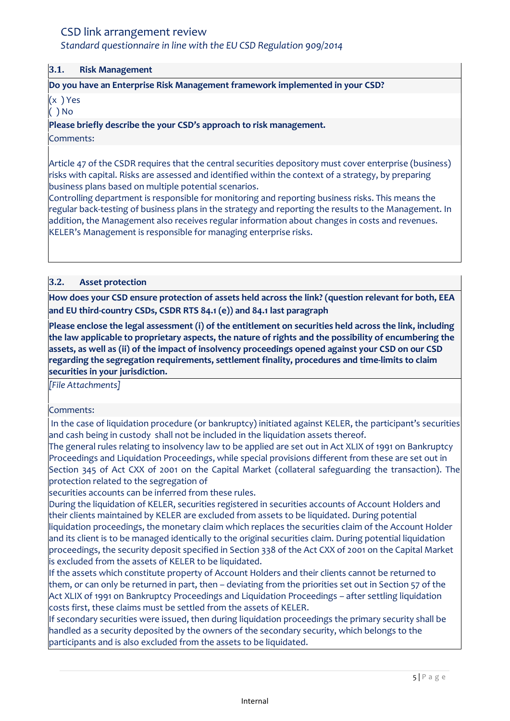## *Standard questionnaire in line with the EU CSD Regulation 909/2014*

#### **3.1. Risk Management**

#### **Do you have an Enterprise Risk Management framework implemented in your CSD?**

(x ) Yes

( ) No

**Please briefly describe the your CSD's approach to risk management.** 

#### Comments:

Article 47 of the CSDR requires that the central securities depository must cover enterprise (business) risks with capital. Risks are assessed and identified within the context of a strategy, by preparing business plans based on multiple potential scenarios.

Controlling department is responsible for monitoring and reporting business risks. This means the regular back-testing of business plans in the strategy and reporting the results to the Management. In addition, the Management also receives regular information about changes in costs and revenues. KELER's Management is responsible for managing enterprise risks.

#### **3.2. Asset protection**

**How does your CSD ensure protection of assets held across the link? (question relevant for both, EEA and EU third-country CSDs, CSDR RTS 84.1 (e)) and 84.1 last paragraph**

**Please enclose the legal assessment (i) of the entitlement on securities held across the link, including the law applicable to proprietary aspects, the nature of rights and the possibility of encumbering the assets, as well as (ii) of the impact of insolvency proceedings opened against your CSD on our CSD regarding the segregation requirements, settlement finality, procedures and time-limits to claim securities in your jurisdiction.**

*[File Attachments]*

#### Comments:

In the case of liquidation procedure (or bankruptcy) initiated against KELER, the participant's securities and cash being in custody shall not be included in the liquidation assets thereof.

The general rules relating to insolvency law to be applied are set out in Act XLIX of 1991 on Bankruptcy Proceedings and Liquidation Proceedings, while special provisions different from these are set out in Section 345 of Act CXX of 2001 on the Capital Market (collateral safeguarding the transaction). The protection related to the segregation of

securities accounts can be inferred from these rules.

During the liquidation of KELER, securities registered in securities accounts of Account Holders and their clients maintained by KELER are excluded from assets to be liquidated. During potential liquidation proceedings, the monetary claim which replaces the securities claim of the Account Holder and its client is to be managed identically to the original securities claim. During potential liquidation proceedings, the security deposit specified in Section 338 of the Act CXX of 2001 on the Capital Market is excluded from the assets of KELER to be liquidated.

If the assets which constitute property of Account Holders and their clients cannot be returned to them, or can only be returned in part, then – deviating from the priorities set out in Section 57 of the Act XLIX of 1991 on Bankruptcy Proceedings and Liquidation Proceedings – after settling liquidation costs first, these claims must be settled from the assets of KELER.

If secondary securities were issued, then during liquidation proceedings the primary security shall be handled as a security deposited by the owners of the secondary security, which belongs to the participants and is also excluded from the assets to be liquidated.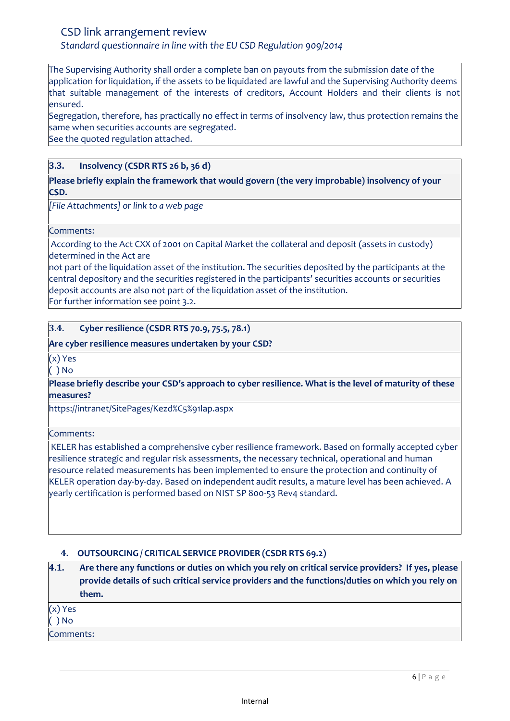*Standard questionnaire in line with the EU CSD Regulation 909/2014*

The Supervising Authority shall order a complete ban on payouts from the submission date of the application for liquidation, if the assets to be liquidated are lawful and the Supervising Authority deems that suitable management of the interests of creditors, Account Holders and their clients is not ensured.

Segregation, therefore, has practically no effect in terms of insolvency law, thus protection remains the same when securities accounts are segregated.

See the quoted regulation attached.

#### **3.3. Insolvency (CSDR RTS 26 b, 36 d)**

**Please briefly explain the framework that would govern (the very improbable) insolvency of your CSD.**

*[File Attachments] or link to a web page*

Comments:

According to the Act CXX of 2001 on Capital Market the collateral and deposit (assets in custody) determined in the Act are

not part of the liquidation asset of the institution. The securities deposited by the participants at the central depository and the securities registered in the participants' securities accounts or securities deposit accounts are also not part of the liquidation asset of the institution. For further information see point 3.2.

## **3.4. Cyber resilience (CSDR RTS 70.9, 75.5, 78.1)**

#### **Are cyber resilience measures undertaken by your CSD?**

(x) Yes ( ) No

**Please briefly describe your CSD's approach to cyber resilience. What is the level of maturity of these measures?**

https://intranet/SitePages/Kezd%C5%91lap.aspx

Comments:

KELER has established a comprehensive cyber resilience framework. Based on formally accepted cyber resilience strategic and regular risk assessments, the necessary technical, operational and human resource related measurements has been implemented to ensure the protection and continuity of KELER operation day-by-day. Based on independent audit results, a mature level has been achieved. A yearly certification is performed based on NIST SP 800-53 Rev4 standard.

## <span id="page-5-0"></span>**4. OUTSOURCING / CRITICAL SERVICE PROVIDER (CSDR RTS 69.2)**

**4.1. Are there any functions or duties on which you rely on critical service providers? If yes, please provide details of such critical service providers and the functions/duties on which you rely on them.** 

| $(x)$ Yes |  |  |
|-----------|--|--|
| $()$ No   |  |  |
| Comments: |  |  |
|           |  |  |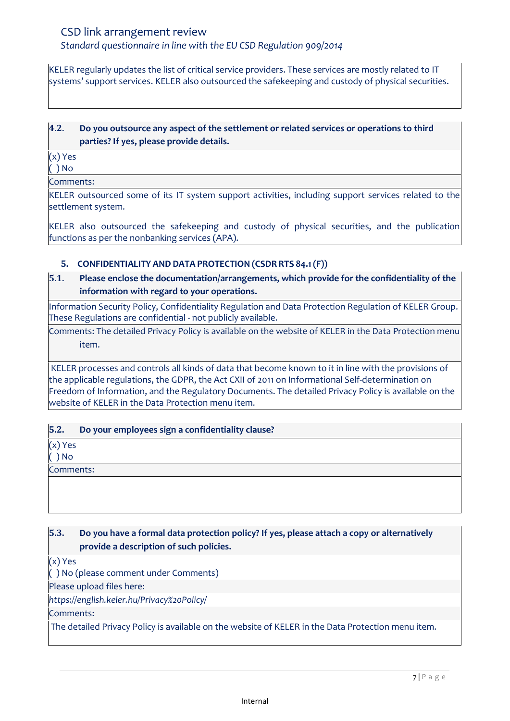*Standard questionnaire in line with the EU CSD Regulation 909/2014*

KELER regularly updates the list of critical service providers. These services are mostly related to IT systems' support services. KELER also outsourced the safekeeping and custody of physical securities.

## **4.2. Do you outsource any aspect of the settlement or related services or operations to third parties? If yes, please provide details.**

(x) Yes

( ) No

Comments:

KELER outsourced some of its IT system support activities, including support services related to the settlement system.

KELER also outsourced the safekeeping and custody of physical securities, and the publication functions as per the nonbanking services (APA).

## <span id="page-6-0"></span>**5. CONFIDENTIALITY AND DATA PROTECTION (CSDR RTS 84.1(F))**

# **5.1. Please enclose the documentation/arrangements, which provide for the confidentiality of the information with regard to your operations.**

Information Security Policy, Confidentiality Regulation and Data Protection Regulation of KELER Group. These Regulations are confidential - not publicly available.

Comments: The detailed Privacy Policy is available on the website of KELER in the Data Protection menu item.

KELER processes and controls all kinds of data that become known to it in line with the provisions of the applicable regulations, the GDPR, the Act CXII of 2011 on Informational Self-determination on Freedom of Information, and the Regulatory Documents. The detailed Privacy Policy is available on the website of KELER in the Data Protection menu item.

**5.2. Do your employees sign a confidentiality clause?**

(x) Yes

( ) No

Comments:

## **5.3. Do you have a formal data protection policy? If yes, please attach a copy or alternatively provide a description of such policies.**

(x) Yes

( ) No (please comment under Comments)

Please upload files here:

*https://english.keler.hu/Privacy%20Policy/*

Comments:

The detailed Privacy Policy is available on the website of KELER in the Data Protection menu item.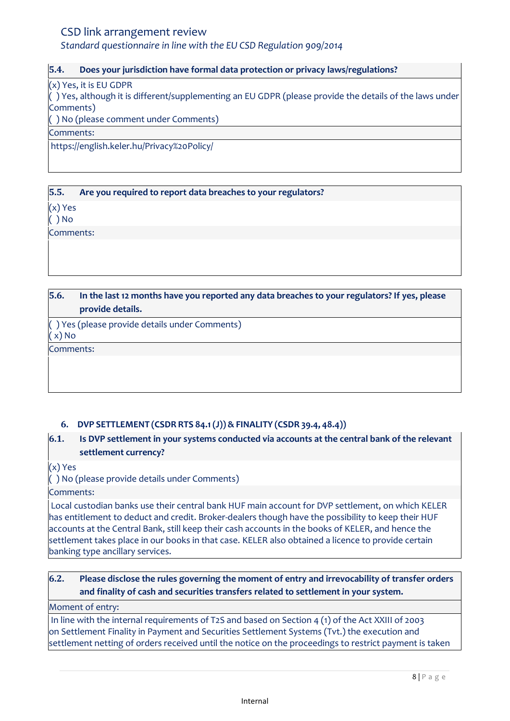*Standard questionnaire in line with the EU CSD Regulation 909/2014*

#### **5.4. Does your jurisdiction have formal data protection or privacy laws/regulations?**

(x) Yes, it is EU GDPR

( ) Yes, although it is different/supplementing an EU GDPR (please provide the details of the laws under Comments)

( ) No (please comment under Comments)

Comments:

https://english.keler.hu/Privacy%20Policy/

### **5.5. Are you required to report data breaches to your regulators?**

(x) Yes

( ) No

Comments:

**5.6. In the last 12 months have you reported any data breaches to your regulators? If yes, please provide details.**

( ) Yes (please provide details under Comments) ( x) No

Comments:

## <span id="page-7-0"></span>**6. DVP SETTLEMENT (CSDR RTS 84.1(J))& FINALITY (CSDR 39.4, 48.4))**

## **6.1. Is DVP settlement in your systems conducted via accounts at the central bank of the relevant settlement currency?**

(x) Yes

( ) No (please provide details under Comments)

Comments:

Local custodian banks use their central bank HUF main account for DVP settlement, on which KELER has entitlement to deduct and credit. Broker-dealers though have the possibility to keep their HUF accounts at the Central Bank, still keep their cash accounts in the books of KELER, and hence the settlement takes place in our books in that case. KELER also obtained a licence to provide certain banking type ancillary services.

## **6.2. Please disclose the rules governing the moment of entry and irrevocability of transfer orders and finality of cash and securities transfers related to settlement in your system.**

#### Moment of entry:

In line with the internal requirements of T2S and based on Section 4 (1) of the Act XXIII of 2003 on Settlement Finality in Payment and Securities Settlement Systems (Tvt.) the execution and settlement netting of orders received until the notice on the proceedings to restrict payment is taken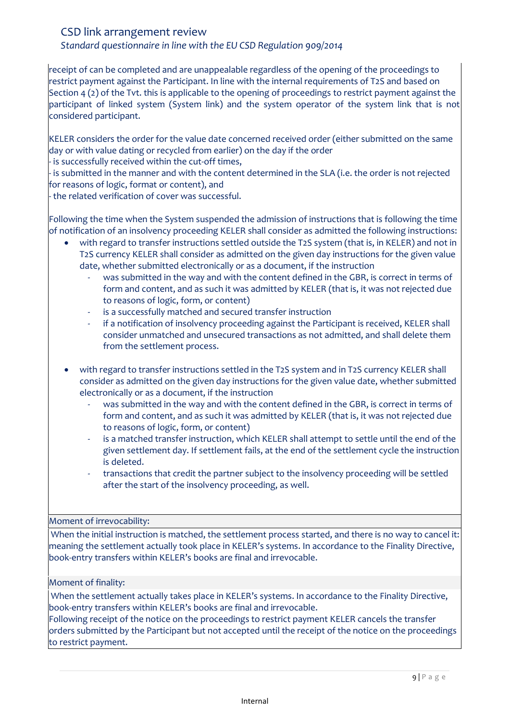*Standard questionnaire in line with the EU CSD Regulation 909/2014*

receipt of can be completed and are unappealable regardless of the opening of the proceedings to restrict payment against the Participant. In line with the internal requirements of T2S and based on Section 4 (2) of the Tvt. this is applicable to the opening of proceedings to restrict payment against the participant of linked system (System link) and the system operator of the system link that is not considered participant.

KELER considers the order for the value date concerned received order (either submitted on the same day or with value dating or recycled from earlier) on the day if the order

- is successfully received within the cut-off times,

- is submitted in the manner and with the content determined in the SLA (i.e. the order is not rejected for reasons of logic, format or content), and

- the related verification of cover was successful.

Following the time when the System suspended the admission of instructions that is following the time of notification of an insolvency proceeding KELER shall consider as admitted the following instructions:

- with regard to transfer instructions settled outside the T2S system (that is, in KELER) and not in T2S currency KELER shall consider as admitted on the given day instructions for the given value date, whether submitted electronically or as a document, if the instruction
	- was submitted in the way and with the content defined in the GBR, is correct in terms of form and content, and as such it was admitted by KELER (that is, it was not rejected due to reasons of logic, form, or content)
	- is a successfully matched and secured transfer instruction
	- if a notification of insolvency proceeding against the Participant is received, KELER shall consider unmatched and unsecured transactions as not admitted, and shall delete them from the settlement process.
- with regard to transfer instructions settled in the T2S system and in T2S currency KELER shall consider as admitted on the given day instructions for the given value date, whether submitted electronically or as a document, if the instruction
	- was submitted in the way and with the content defined in the GBR, is correct in terms of form and content, and as such it was admitted by KELER (that is, it was not rejected due to reasons of logic, form, or content)
	- is a matched transfer instruction, which KELER shall attempt to settle until the end of the given settlement day. If settlement fails, at the end of the settlement cycle the instruction is deleted.
	- transactions that credit the partner subject to the insolvency proceeding will be settled after the start of the insolvency proceeding, as well.

## Moment of irrevocability:

When the initial instruction is matched, the settlement process started, and there is no way to cancel it: meaning the settlement actually took place in KELER's systems. In accordance to the Finality Directive, book-entry transfers within KELER's books are final and irrevocable.

#### Moment of finality:

When the settlement actually takes place in KELER's systems. In accordance to the Finality Directive, book-entry transfers within KELER's books are final and irrevocable.

Following receipt of the notice on the proceedings to restrict payment KELER cancels the transfer orders submitted by the Participant but not accepted until the receipt of the notice on the proceedings to restrict payment.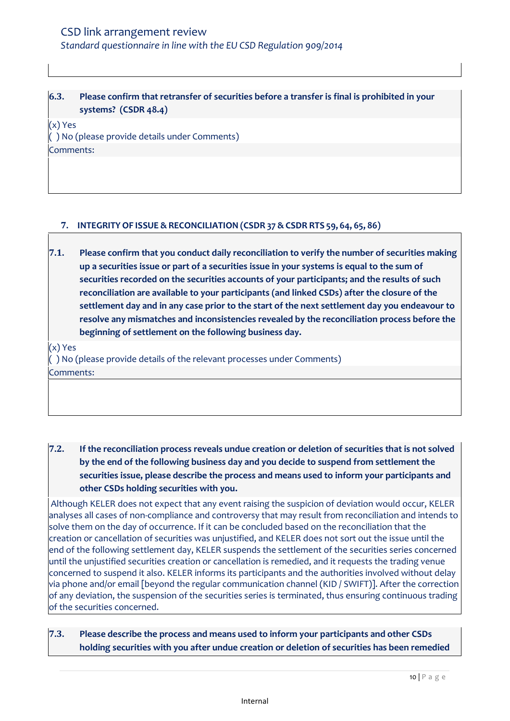## **6.3. Please confirm that retransfer of securities before a transfer is final is prohibited in your systems? (CSDR 48.4)**

(x) Yes ( ) No (please provide details under Comments) Comments:

### <span id="page-9-0"></span>**7. INTEGRITY OF ISSUE & RECONCILIATION (CSDR 37 &CSDR RTS 59, 64, 65, 86)**

**7.1. Please confirm that you conduct daily reconciliation to verify the number of securities making up a securities issue or part of a securities issue in your systems is equal to the sum of securities recorded on the securities accounts of your participants; and the results of such reconciliation are available to your participants (and linked CSDs) after the closure of the settlement day and in any case prior to the start of the next settlement day you endeavour to resolve any mismatches and inconsistencies revealed by the reconciliation process before the beginning of settlement on the following business day.**

(x) Yes

( ) No (please provide details of the relevant processes under Comments) Comments:

**7.2. If the reconciliation process reveals undue creation or deletion of securities that is not solved by the end of the following business day and you decide to suspend from settlement the securities issue, please describe the process and means used to inform your participants and other CSDs holding securities with you.**

Although KELER does not expect that any event raising the suspicion of deviation would occur, KELER analyses all cases of non-compliance and controversy that may result from reconciliation and intends to solve them on the day of occurrence. If it can be concluded based on the reconciliation that the creation or cancellation of securities was unjustified, and KELER does not sort out the issue until the end of the following settlement day, KELER suspends the settlement of the securities series concerned until the unjustified securities creation or cancellation is remedied, and it requests the trading venue concerned to suspend it also. KELER informs its participants and the authorities involved without delay via phone and/or email [beyond the regular communication channel (KID / SWIFT)]. After the correction of any deviation, the suspension of the securities series is terminated, thus ensuring continuous trading of the securities concerned.

**7.3. Please describe the process and means used to inform your participants and other CSDs holding securities with you after undue creation or deletion of securities has been remedied**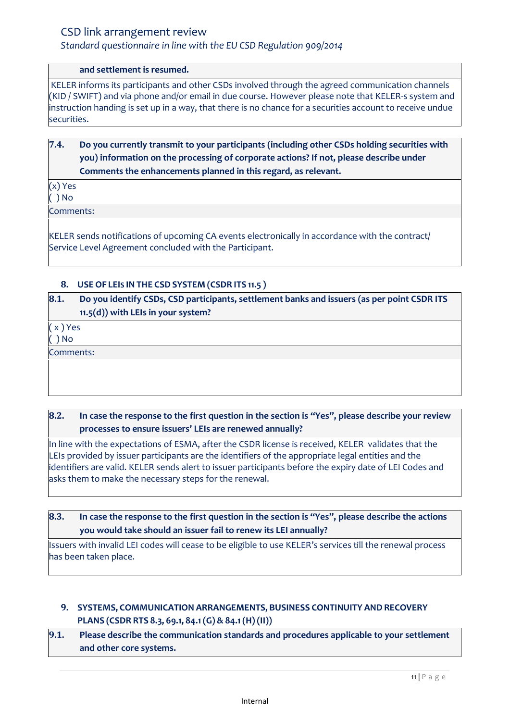## *Standard questionnaire in line with the EU CSD Regulation 909/2014*

#### **and settlement is resumed.**

KELER informs its participants and other CSDs involved through the agreed communication channels (KID / SWIFT) and via phone and/or email in due course. However please note that KELER-s system and instruction handing is set up in a way, that there is no chance for a securities account to receive undue securities.

## **7.4. Do you currently transmit to your participants (including other CSDs holding securities with you) information on the processing of corporate actions? If not, please describe under Comments the enhancements planned in this regard, as relevant.**

(x) Yes  $( )$  No

Comments:

KELER sends notifications of upcoming CA events electronically in accordance with the contract/ Service Level Agreement concluded with the Participant.

## <span id="page-10-0"></span>**8. USE OF LEIS IN THE CSD SYSTEM (CSDR ITS 11.5 )**

**8.1. Do you identify CSDs, CSD participants, settlement banks and issuers (as per point CSDR ITS 11.5(d)) with LEIs in your system?** 

( x ) Yes

( ) No

Comments:

## **8.2. In case the response to the first question in the section is "Yes", please describe your review processes to ensure issuers' LEIs are renewed annually?**

In line with the expectations of ESMA, after the CSDR license is received, KELER validates that the LEIs provided by issuer participants are the identifiers of the appropriate legal entities and the identifiers are valid. KELER sends alert to issuer participants before the expiry date of LEI Codes and asks them to make the necessary steps for the renewal.

### **8.3. In case the response to the first question in the section is "Yes", please describe the actions you would take should an issuer fail to renew its LEI annually?**

Issuers with invalid LEI codes will cease to be eligible to use KELER's services till the renewal process has been taken place.

## <span id="page-10-1"></span>**9. SYSTEMS, COMMUNICATION ARRANGEMENTS, BUSINESS CONTINUITY AND RECOVERY PLANS (CSDR RTS 8.3, 69.1, 84.1(G) & 84.1(H) (II))**

**9.1. Please describe the communication standards and procedures applicable to your settlement and other core systems.**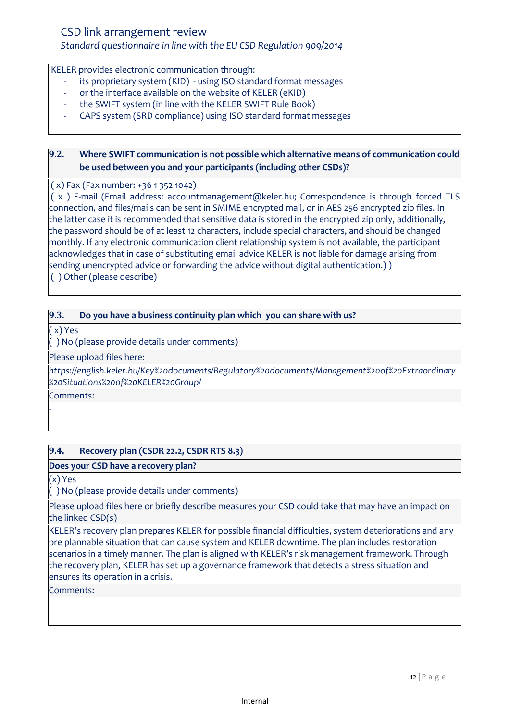## *Standard questionnaire in line with the EU CSD Regulation 909/2014*

KELER provides electronic communication through:

- its proprietary system (KID) using ISO standard format messages
- or the interface available on the website of KELER (eKID)
- the SWIFT system (in line with the KELER SWIFT Rule Book)
- CAPS system (SRD compliance) using ISO standard format messages

## **9.2. Where SWIFT communication is not possible which alternative means of communication could be used between you and your participants (including other CSDs)?**

( x) Fax (Fax number: +36 1 352 1042)

( x ) E-mail (Email address: accountmanagement@keler.hu; Correspondence is through forced TLS connection, and files/mails can be sent in SMIME encrypted mail, or in AES 256 encrypted zip files. In the latter case it is recommended that sensitive data is stored in the encrypted zip only, additionally, the password should be of at least 12 characters, include special characters, and should be changed monthly. If any electronic communication client relationship system is not available, the participant acknowledges that in case of substituting email advice KELER is not liable for damage arising from sending unencrypted advice or forwarding the advice without digital authentication.) ) ( ) Other (please describe)

### **9.3. Do you have a business continuity plan which you can share with us?**

( x) Yes

( ) No (please provide details under comments)

Please upload files here:

*https://english.keler.hu/Key%20documents/Regulatory%20documents/Management%20of%20Extraordinary %20Situations%20of%20KELER%20Group/*

Comments:

*-*

#### **9.4. Recovery plan (CSDR 22.2, CSDR RTS 8.3)**

#### **Does your CSD have a recovery plan?**

(x) Yes

( ) No (please provide details under comments)

Please upload files here or briefly describe measures your CSD could take that may have an impact on the linked CSD(s)

KELER's recovery plan prepares KELER for possible financial difficulties, system deteriorations and any pre plannable situation that can cause system and KELER downtime. The plan includes restoration scenarios in a timely manner. The plan is aligned with KELER's risk management framework. Through the recovery plan, KELER has set up a governance framework that detects a stress situation and ensures its operation in a crisis.

#### Comments: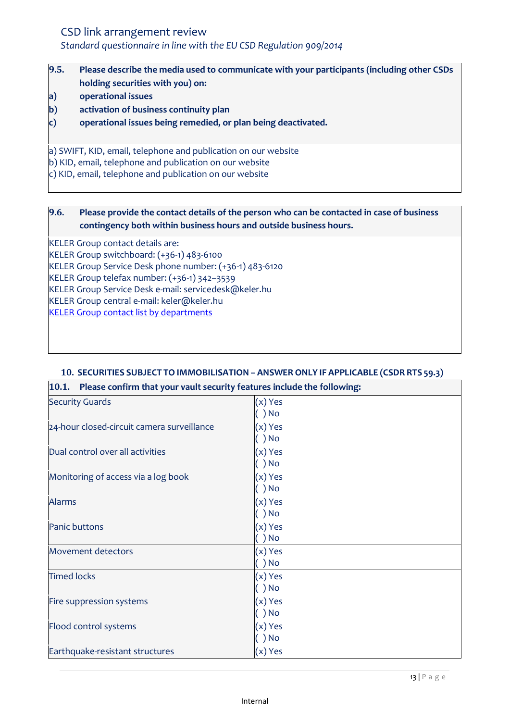# CSD link arrangement review *Standard questionnaire in line with the EU CSD Regulation 909/2014*

- **9.5. Please describe the media used to communicate with your participants (including other CSDs holding securities with you) on:**
- **a) operational issues**
- **b) activation of business continuity plan**
- **c) operational issues being remedied, or plan being deactivated.**

a) SWIFT, KID, email, telephone and publication on our website

b) KID, email, telephone and publication on our website

c) KID, email, telephone and publication on our website

## **9.6. Please provide the contact details of the person who can be contacted in case of business contingency both within business hours and outside business hours.**

KELER Group contact details are:

KELER Group switchboard: (+36-1) 483-6100

KELER Group Service Desk phone number: (+36-1) 483-6120

KELER Group telefax number: (+36-1) 342–3539

KELER Group Service Desk e-mail: servicedesk@keler.hu

KELER Group central e-mail: keler@keler.hu

[KELER Group contact list by departments](https://english.keler.hu/Contacts/Contact%20us/)

| $ 10.1.$ Please confirm that your vault security features include the following: |           |
|----------------------------------------------------------------------------------|-----------|
| <b>Security Guards</b>                                                           | (x) Yes   |
|                                                                                  | ) No      |
| 24-hour closed-circuit camera surveillance                                       | $(x)$ Yes |
|                                                                                  | ) No      |
| Dual control over all activities                                                 | (x) Yes   |
|                                                                                  | ) No      |
| Monitoring of access via a log book                                              | (x) Yes   |
|                                                                                  | ) No      |
| <b>Alarms</b>                                                                    | (x) Yes   |
|                                                                                  | ) No      |
| Panic buttons                                                                    | (x) Yes   |
|                                                                                  | ) No      |
| Movement detectors                                                               | (x) Yes   |
|                                                                                  | ) No      |
| <b>Timed locks</b>                                                               | (x) Yes   |
|                                                                                  | ) No      |
| Fire suppression systems                                                         | (x) Yes   |
|                                                                                  | ) No      |
| Flood control systems                                                            | (x) Yes   |
|                                                                                  | ) No      |
| Earthquake-resistant structures                                                  | (x) Yes   |

## <span id="page-12-0"></span>**10. SECURITIES SUBJECT TO IMMOBILISATION – ANSWER ONLY IF APPLICABLE (CSDR RTS 59.3)**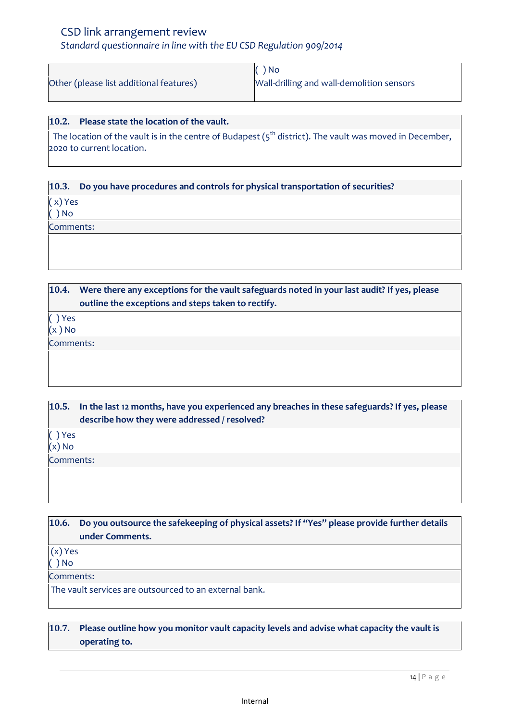# CSD link arrangement review *Standard questionnaire in line with the EU CSD Regulation 909/2014*

|                                         | $\bigcap$ $N_0$                           |
|-----------------------------------------|-------------------------------------------|
| Other (please list additional features) | Wall-drilling and wall-demolition sensors |

# **10.2. Please state the location of the vault.**

The location of the vault is in the centre of Budapest ( $5<sup>th</sup>$  district). The vault was moved in December, 2020 to current location.

#### **10.3. Do you have procedures and controls for physical transportation of securities?**

( x) Yes

( ) No

Comments:

**10.4. Were there any exceptions for the vault safeguards noted in your last audit? If yes, please outline the exceptions and steps taken to rectify.**

( ) Yes

 $(x)$  No

Comments:

**10.5. In the last 12 months, have you experienced any breaches in these safeguards? If yes, please describe how they were addressed / resolved?**

( ) Yes

 $(x)$  No

Comments:

| <b>10.6.</b>          | Do you outsource the safekeeping of physical assets? If "Yes" please provide further details<br>under Comments. |  |
|-----------------------|-----------------------------------------------------------------------------------------------------------------|--|
| $(x)$ Yes<br>$( )$ No |                                                                                                                 |  |
| Comments:             |                                                                                                                 |  |
|                       | The vault services are outsourced to an external bank.                                                          |  |
|                       |                                                                                                                 |  |
| 10.7.                 | Please outline how you monitor vault capacity levels and advise what capacity the vault is<br>operating to.     |  |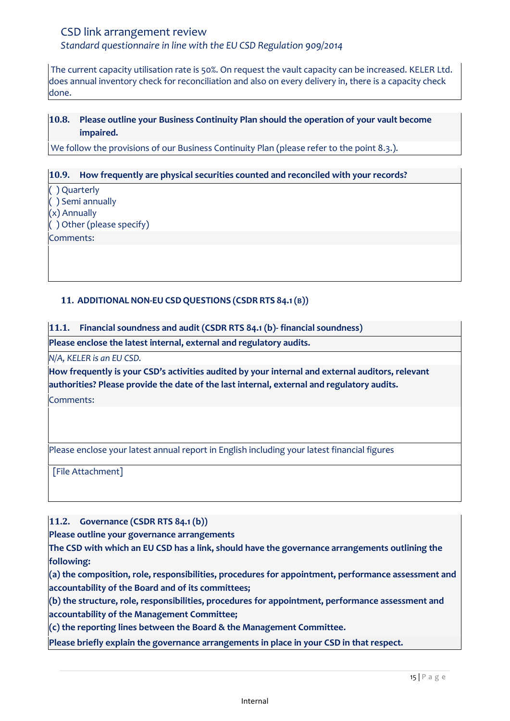*Standard questionnaire in line with the EU CSD Regulation 909/2014*

The current capacity utilisation rate is 50%. On request the vault capacity can be increased. KELER Ltd. does annual inventory check for reconciliation and also on every delivery in, there is a capacity check done.

## **10.8. Please outline your Business Continuity Plan should the operation of your vault become impaired.**

We follow the provisions of our Business Continuity Plan (please refer to the point 8.3.).

#### **10.9. How frequently are physical securities counted and reconciled with your records?**

( ) Quarterly ( ) Semi annually

(x) Annually

( ) Other (please specify)

Comments:

## <span id="page-14-0"></span>**11. ADDITIONAL NON-EU CSDQUESTIONS (CSDR RTS 84.1(B))**

**11.1. Financial soundness and audit (CSDR RTS 84.1 (b)- financial soundness)**

**Please enclose the latest internal, external and regulatory audits.**

*N/A, KELER is an EU CSD.*

**How frequently is your CSD's activities audited by your internal and external auditors, relevant authorities? Please provide the date of the last internal, external and regulatory audits.**

Comments:

Please enclose your latest annual report in English including your latest financial figures

[File Attachment]

**11.2. Governance (CSDR RTS 84.1 (b))**

**Please outline your governance arrangements** 

**The CSD with which an EU CSD has a link, should have the governance arrangements outlining the following:** 

**(a) the composition, role, responsibilities, procedures for appointment, performance assessment and accountability of the Board and of its committees;** 

**(b) the structure, role, responsibilities, procedures for appointment, performance assessment and accountability of the Management Committee;** 

**(c) the reporting lines between the Board & the Management Committee.**

**Please briefly explain the governance arrangements in place in your CSD in that respect.**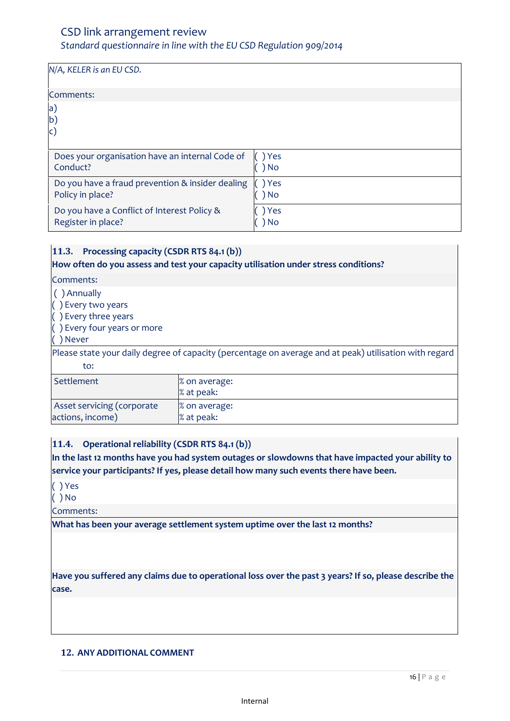# *Standard questionnaire in line with the EU CSD Regulation 909/2014*

| N/A, KELER is an EU CSD.                         |       |
|--------------------------------------------------|-------|
| Comments:                                        |       |
| $ {\sf a}\rangle$<br>$ b\rangle$<br>$\mathsf{C}$ |       |
| Does your organisation have an internal Code of  | Yes   |
| Conduct?                                         | No    |
| Do you have a fraud prevention & insider dealing | ) Yes |
| Policy in place?                                 | No    |
| Do you have a Conflict of Interest Policy &      | Yes   |
| Register in place?                               | No.   |

## **11.3. Processing capacity (CSDR RTS 84.1 (b))**

#### **How often do you assess and test your capacity utilisation under stress conditions?**

#### Comments:

- ( ) Annually
- ( ) Every two years
- ( ) Every three years
- ( ) Every four years or more
- ( ) Never

Please state your daily degree of capacity (percentage on average and at peak) utilisation with regard to:

| Settlement                 | $\%$ on average: |
|----------------------------|------------------|
|                            |                  |
|                            | $\%$ at peak:    |
| Asset servicing (corporate | $\%$ on average: |
| actions, income)           | $\%$ at peak:    |

## **11.4. Operational reliability (CSDR RTS 84.1 (b))**

**In the last 12 months have you had system outages or slowdowns that have impacted your ability to service your participants? If yes, please detail how many such events there have been.**

( ) Yes

( ) No

Comments:

**What has been your average settlement system uptime over the last 12 months?**

**Have you suffered any claims due to operational loss over the past 3 years? If so, please describe the case.**

#### <span id="page-15-0"></span>**12. ANY ADDITIONAL COMMENT**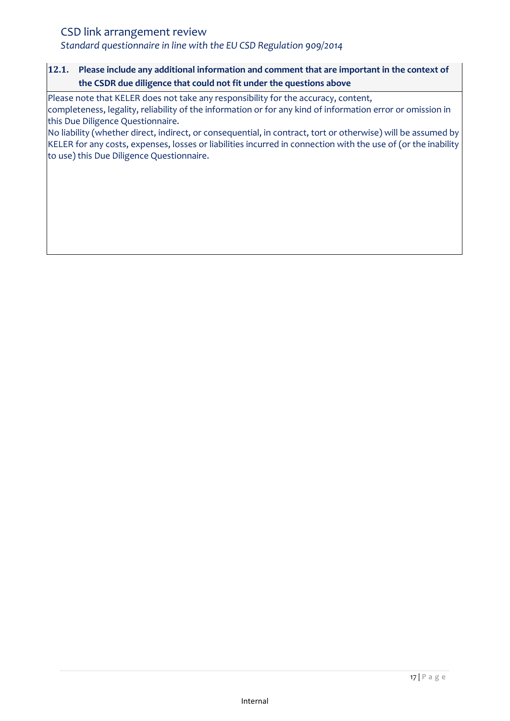*Standard questionnaire in line with the EU CSD Regulation 909/2014*

## **12.1. Please include any additional information and comment that are important in the context of the CSDR due diligence that could not fit under the questions above**

Please note that KELER does not take any responsibility for the accuracy, content, completeness, legality, reliability of the information or for any kind of information error or omission in this Due Diligence Questionnaire.

No liability (whether direct, indirect, or consequential, in contract, tort or otherwise) will be assumed by KELER for any costs, expenses, losses or liabilities incurred in connection with the use of (or the inability to use) this Due Diligence Questionnaire.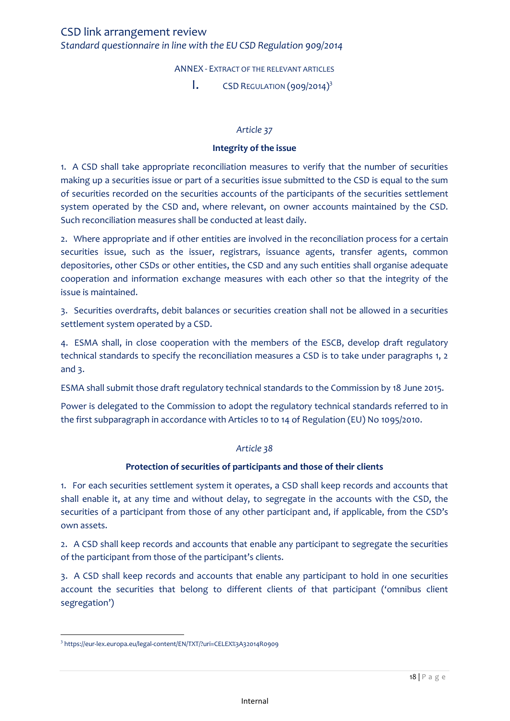ANNEX - EXTRACT OF THE RELEVANT ARTICLES

 $\mathbf{I}$ . CSD REGULATION (909/2014)<sup>3</sup>

#### *Article 37*

#### **Integrity of the issue**

<span id="page-17-1"></span><span id="page-17-0"></span>1. A CSD shall take appropriate reconciliation measures to verify that the number of securities making up a securities issue or part of a securities issue submitted to the CSD is equal to the sum of securities recorded on the securities accounts of the participants of the securities settlement system operated by the CSD and, where relevant, on owner accounts maintained by the CSD. Such reconciliation measures shall be conducted at least daily.

2. Where appropriate and if other entities are involved in the reconciliation process for a certain securities issue, such as the issuer, registrars, issuance agents, transfer agents, common depositories, other CSDs or other entities, the CSD and any such entities shall organise adequate cooperation and information exchange measures with each other so that the integrity of the issue is maintained.

3. Securities overdrafts, debit balances or securities creation shall not be allowed in a securities settlement system operated by a CSD.

4. ESMA shall, in close cooperation with the members of the ESCB, develop draft regulatory technical standards to specify the reconciliation measures a CSD is to take under paragraphs 1, 2 and 3.

ESMA shall submit those draft regulatory technical standards to the Commission by 18 June 2015.

Power is delegated to the Commission to adopt the regulatory technical standards referred to in the first subparagraph in accordance with Articles 10 to 14 of Regulation (EU) No 1095/2010.

#### *Article 38*

#### **Protection of securities of participants and those of their clients**

1. For each securities settlement system it operates, a CSD shall keep records and accounts that shall enable it, at any time and without delay, to segregate in the accounts with the CSD, the securities of a participant from those of any other participant and, if applicable, from the CSD's own assets.

2. A CSD shall keep records and accounts that enable any participant to segregate the securities of the participant from those of the participant's clients.

3. A CSD shall keep records and accounts that enable any participant to hold in one securities account the securities that belong to different clients of that participant ('omnibus client segregation')

 $\overline{\phantom{a}}$ 3 https://eur-lex.europa.eu/legal-content/EN/TXT/?uri=CELEX%3A32014R0909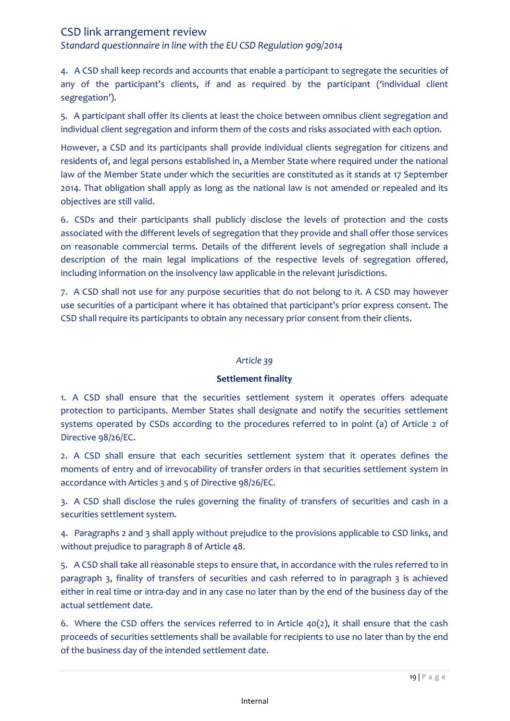*Standard questionnaire in line with the EU CSD Regulation 909/2014*

4. A CSD shall keep records and accounts that enable a participant to segregate the securities of any of the participant's clients, if and as required by the participant ('individual client segregation').

5. A participant shall offer its clients at least the choice between omnibus client segregation and individual client segregation and inform them of the costs and risks associated with each option.

However, a CSD and its participants shall provide individual clients segregation for citizens and residents of, and legal persons established in, a Member State where required under the national law of the Member State under which the securities are constituted as it stands at 17 September 2014. That obligation shall apply as long as the national law is not amended or repealed and its objectives are still valid.

6. CSDs and their participants shall publicly disclose the levels of protection and the costs associated with the different levels of segregation that they provide and shall offer those services on reasonable commercial terms. Details of the different levels of segregation shall include a description of the main legal implications of the respective levels of segregation offered, including information on the insolvency law applicable in the relevant jurisdictions.

7. A CSD shall not use for any purpose securities that do not belong to it. A CSD may however use securities of a participant where it has obtained that participant's prior express consent. The CSD shall require its participants to obtain any necessary prior consent from their clients.

#### *Article 39*

#### **Settlement finality**

1. A CSD shall ensure that the securities settlement system it operates offers adequate protection to participants. Member States shall designate and notify the securities settlement systems operated by CSDs according to the procedures referred to in point (a) of Article 2 of Directive 98/26/EC.

2. A CSD shall ensure that each securities settlement system that it operates defines the moments of entry and of irrevocability of transfer orders in that securities settlement system in accordance with Articles 3 and 5 of Directive 98/26/EC.

3. A CSD shall disclose the rules governing the finality of transfers of securities and cash in a securities settlement system.

4. Paragraphs 2 and 3 shall apply without prejudice to the provisions applicable to CSD links, and without prejudice to paragraph 8 of Article 48.

5. A CSD shall take all reasonable steps to ensure that, in accordance with the rules referred to in paragraph 3, finality of transfers of securities and cash referred to in paragraph 3 is achieved either in real time or intra-day and in any case no later than by the end of the business day of the actual settlement date.

6. Where the CSD offers the services referred to in Article 40(2), it shall ensure that the cash proceeds of securities settlements shall be available for recipients to use no later than by the end of the business day of the intended settlement date.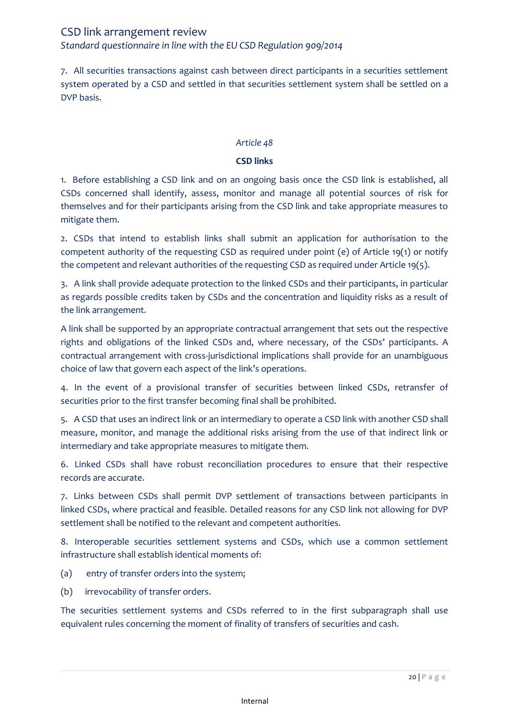# CSD link arrangement review *Standard questionnaire in line with the EU CSD Regulation 909/2014*

7. All securities transactions against cash between direct participants in a securities settlement system operated by a CSD and settled in that securities settlement system shall be settled on a DVP basis.

### *Article 48*

### **CSD links**

1. Before establishing a CSD link and on an ongoing basis once the CSD link is established, all CSDs concerned shall identify, assess, monitor and manage all potential sources of risk for themselves and for their participants arising from the CSD link and take appropriate measures to mitigate them.

2. CSDs that intend to establish links shall submit an application for authorisation to the competent authority of the requesting CSD as required under point (e) of Article 19(1) or notify the competent and relevant authorities of the requesting CSD as required under Article 19(5).

3. A link shall provide adequate protection to the linked CSDs and their participants, in particular as regards possible credits taken by CSDs and the concentration and liquidity risks as a result of the link arrangement.

A link shall be supported by an appropriate contractual arrangement that sets out the respective rights and obligations of the linked CSDs and, where necessary, of the CSDs' participants. A contractual arrangement with cross-jurisdictional implications shall provide for an unambiguous choice of law that govern each aspect of the link's operations.

4. In the event of a provisional transfer of securities between linked CSDs, retransfer of securities prior to the first transfer becoming final shall be prohibited.

5. A CSD that uses an indirect link or an intermediary to operate a CSD link with another CSD shall measure, monitor, and manage the additional risks arising from the use of that indirect link or intermediary and take appropriate measures to mitigate them.

6. Linked CSDs shall have robust reconciliation procedures to ensure that their respective records are accurate.

7. Links between CSDs shall permit DVP settlement of transactions between participants in linked CSDs, where practical and feasible. Detailed reasons for any CSD link not allowing for DVP settlement shall be notified to the relevant and competent authorities.

8. Interoperable securities settlement systems and CSDs, which use a common settlement infrastructure shall establish identical moments of:

- (a) entry of transfer orders into the system;
- (b) irrevocability of transfer orders.

The securities settlement systems and CSDs referred to in the first subparagraph shall use equivalent rules concerning the moment of finality of transfers of securities and cash.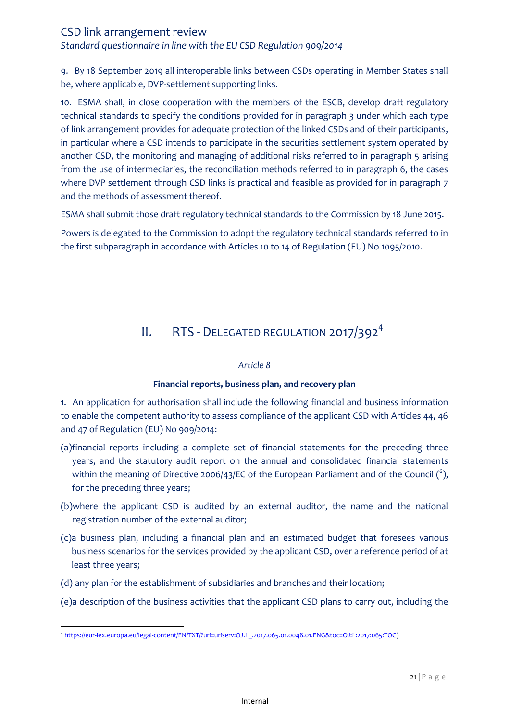*Standard questionnaire in line with the EU CSD Regulation 909/2014*

9. By 18 September 2019 all interoperable links between CSDs operating in Member States shall be, where applicable, DVP-settlement supporting links.

10. ESMA shall, in close cooperation with the members of the ESCB, develop draft regulatory technical standards to specify the conditions provided for in paragraph 3 under which each type of link arrangement provides for adequate protection of the linked CSDs and of their participants, in particular where a CSD intends to participate in the securities settlement system operated by another CSD, the monitoring and managing of additional risks referred to in paragraph 5 arising from the use of intermediaries, the reconciliation methods referred to in paragraph 6, the cases where DVP settlement through CSD links is practical and feasible as provided for in paragraph 7 and the methods of assessment thereof.

ESMA shall submit those draft regulatory technical standards to the Commission by 18 June 2015.

Powers is delegated to the Commission to adopt the regulatory technical standards referred to in the first subparagraph in accordance with Articles 10 to 14 of Regulation (EU) No 1095/2010.

# II. RTS - DELEGATED REGULATION 2017/392<sup>4</sup>

#### *Article 8*

## **Financial reports, business plan, and recovery plan**

<span id="page-20-0"></span>1. An application for authorisation shall include the following financial and business information to enable the competent authority to assess compliance of the applicant CSD with Articles 44, 46 and 47 of Regulation (EU) No 909/2014:

- (a)financial reports including a complete set of financial statements for the preceding three years, and the statutory audit report on the annual and consolidated financial statements within the meaning of Directive 2006/43/EC of the European Parliament and of the Council  $\binom{6}{2}$ , for the preceding three years;
- (b)where the applicant CSD is audited by an external auditor, the name and the national registration number of the external auditor;
- (c)a business plan, including a financial plan and an estimated budget that foresees various business scenarios for the services provided by the applicant CSD, over a reference period of at least three years;
- (d) any plan for the establishment of subsidiaries and branches and their location;
- (e)a description of the business activities that the applicant CSD plans to carry out, including the

 $\overline{a}$ 4 [https://eur-lex.europa.eu/legal-content/EN/TXT/?uri=uriserv:OJ.L\\_.2017.065.01.0048.01.ENG&toc=OJ:L:2017:065:TOC\)](https://eur-lex.europa.eu/legal-content/EN/TXT/?uri=uriserv:OJ.L_.2017.065.01.0048.01.ENG&toc=OJ:L:2017:065:TOC)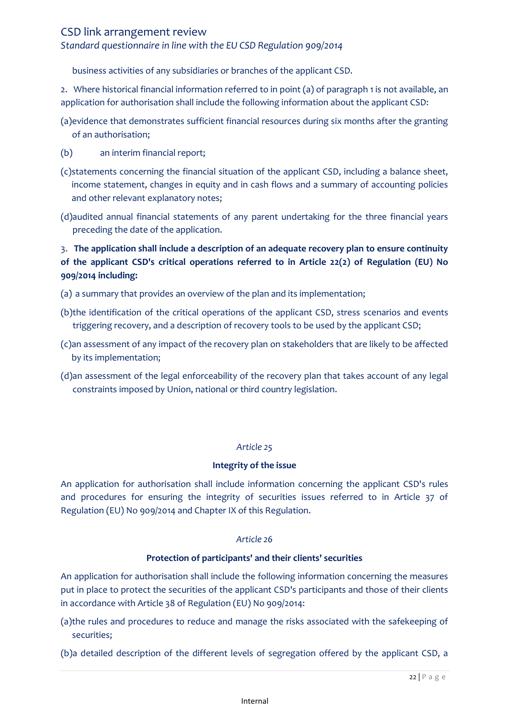## *Standard questionnaire in line with the EU CSD Regulation 909/2014*

business activities of any subsidiaries or branches of the applicant CSD.

2. Where historical financial information referred to in point (a) of paragraph 1 is not available, an application for authorisation shall include the following information about the applicant CSD:

- (a)evidence that demonstrates sufficient financial resources during six months after the granting of an authorisation;
- (b) an interim financial report;
- (c)statements concerning the financial situation of the applicant CSD, including a balance sheet, income statement, changes in equity and in cash flows and a summary of accounting policies and other relevant explanatory notes;
- (d)audited annual financial statements of any parent undertaking for the three financial years preceding the date of the application.

# 3. **The application shall include a description of an adequate recovery plan to ensure continuity of the applicant CSD's critical operations referred to in Article 22(2) of Regulation (EU) No 909/2014 including:**

- (a) a summary that provides an overview of the plan and its implementation;
- (b)the identification of the critical operations of the applicant CSD, stress scenarios and events triggering recovery, and a description of recovery tools to be used by the applicant CSD;
- (c)an assessment of any impact of the recovery plan on stakeholders that are likely to be affected by its implementation;
- (d)an assessment of the legal enforceability of the recovery plan that takes account of any legal constraints imposed by Union, national or third country legislation.

#### *Article 25*

#### **Integrity of the issue**

An application for authorisation shall include information concerning the applicant CSD's rules and procedures for ensuring the integrity of securities issues referred to in Article 37 of Regulation (EU) No 909/2014 and Chapter IX of this Regulation.

#### *Article 26*

#### **Protection of participants' and their clients' securities**

An application for authorisation shall include the following information concerning the measures put in place to protect the securities of the applicant CSD's participants and those of their clients in accordance with Article 38 of Regulation (EU) No 909/2014:

- (a)the rules and procedures to reduce and manage the risks associated with the safekeeping of securities;
- (b)a detailed description of the different levels of segregation offered by the applicant CSD, a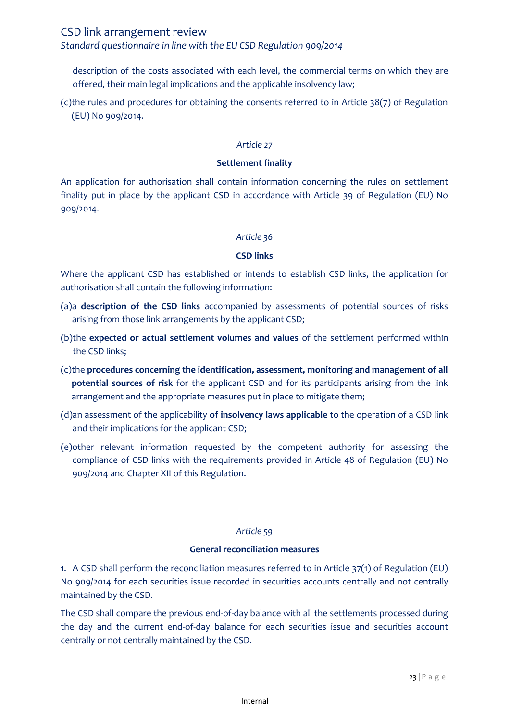### *Standard questionnaire in line with the EU CSD Regulation 909/2014*

description of the costs associated with each level, the commercial terms on which they are offered, their main legal implications and the applicable insolvency law;

(c)the rules and procedures for obtaining the consents referred to in Article 38(7) of Regulation (EU) No 909/2014.

#### *Article 27*

#### **Settlement finality**

An application for authorisation shall contain information concerning the rules on settlement finality put in place by the applicant CSD in accordance with Article 39 of Regulation (EU) No 909/2014.

#### *Article 36*

#### **CSD links**

Where the applicant CSD has established or intends to establish CSD links, the application for authorisation shall contain the following information:

- (a)a **description of the CSD links** accompanied by assessments of potential sources of risks arising from those link arrangements by the applicant CSD;
- (b)the **expected or actual settlement volumes and values** of the settlement performed within the CSD links;
- (c)the **procedures concerning the identification, assessment, monitoring and management of all potential sources of risk** for the applicant CSD and for its participants arising from the link arrangement and the appropriate measures put in place to mitigate them;
- (d)an assessment of the applicability **of insolvency laws applicable** to the operation of a CSD link and their implications for the applicant CSD;
- (e)other relevant information requested by the competent authority for assessing the compliance of CSD links with the requirements provided in Article 48 of Regulation (EU) No 909/2014 and Chapter XII of this Regulation.

#### *Article 59*

#### **General reconciliation measures**

1. A CSD shall perform the reconciliation measures referred to in Article 37(1) of Regulation (EU) No 909/2014 for each securities issue recorded in securities accounts centrally and not centrally maintained by the CSD.

The CSD shall compare the previous end-of-day balance with all the settlements processed during the day and the current end-of-day balance for each securities issue and securities account centrally or not centrally maintained by the CSD.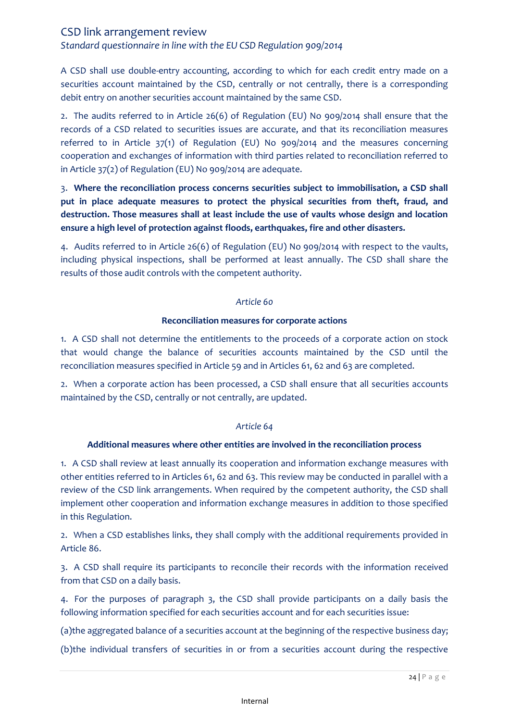*Standard questionnaire in line with the EU CSD Regulation 909/2014*

A CSD shall use double-entry accounting, according to which for each credit entry made on a securities account maintained by the CSD, centrally or not centrally, there is a corresponding debit entry on another securities account maintained by the same CSD.

2. The audits referred to in Article 26(6) of Regulation (EU) No 909/2014 shall ensure that the records of a CSD related to securities issues are accurate, and that its reconciliation measures referred to in Article 37(1) of Regulation (EU) No 909/2014 and the measures concerning cooperation and exchanges of information with third parties related to reconciliation referred to in Article 37(2) of Regulation (EU) No 909/2014 are adequate.

3. **Where the reconciliation process concerns securities subject to immobilisation, a CSD shall put in place adequate measures to protect the physical securities from theft, fraud, and destruction. Those measures shall at least include the use of vaults whose design and location ensure a high level of protection against floods, earthquakes, fire and other disasters.**

4. Audits referred to in Article 26(6) of Regulation (EU) No 909/2014 with respect to the vaults, including physical inspections, shall be performed at least annually. The CSD shall share the results of those audit controls with the competent authority.

#### *Article 60*

#### **Reconciliation measures for corporate actions**

1. A CSD shall not determine the entitlements to the proceeds of a corporate action on stock that would change the balance of securities accounts maintained by the CSD until the reconciliation measures specified in Article 59 and in Articles 61, 62 and 63 are completed.

2. When a corporate action has been processed, a CSD shall ensure that all securities accounts maintained by the CSD, centrally or not centrally, are updated.

#### *Article 64*

#### **Additional measures where other entities are involved in the reconciliation process**

1. A CSD shall review at least annually its cooperation and information exchange measures with other entities referred to in Articles 61, 62 and 63. This review may be conducted in parallel with a review of the CSD link arrangements. When required by the competent authority, the CSD shall implement other cooperation and information exchange measures in addition to those specified in this Regulation.

2. When a CSD establishes links, they shall comply with the additional requirements provided in Article 86.

3. A CSD shall require its participants to reconcile their records with the information received from that CSD on a daily basis.

4. For the purposes of paragraph 3, the CSD shall provide participants on a daily basis the following information specified for each securities account and for each securities issue:

(a)the aggregated balance of a securities account at the beginning of the respective business day;

(b)the individual transfers of securities in or from a securities account during the respective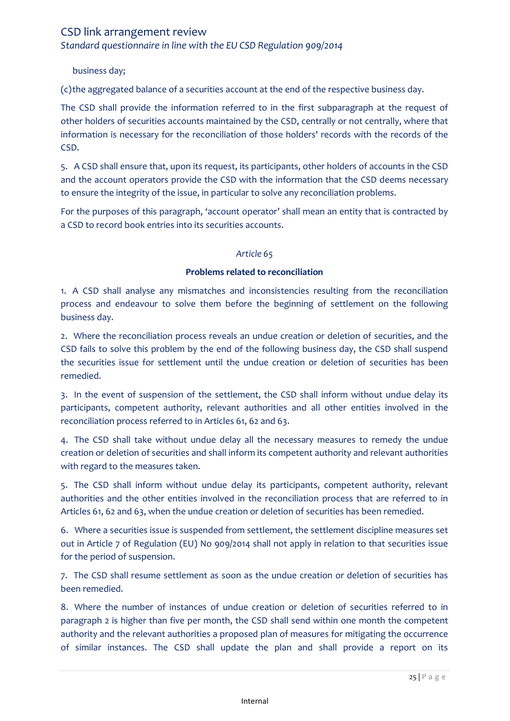*Standard questionnaire in line with the EU CSD Regulation 909/2014*

business day;

(c)the aggregated balance of a securities account at the end of the respective business day.

The CSD shall provide the information referred to in the first subparagraph at the request of other holders of securities accounts maintained by the CSD, centrally or not centrally, where that information is necessary for the reconciliation of those holders' records with the records of the CSD.

5. A CSD shall ensure that, upon its request, its participants, other holders of accounts in the CSD and the account operators provide the CSD with the information that the CSD deems necessary to ensure the integrity of the issue, in particular to solve any reconciliation problems.

For the purposes of this paragraph, 'account operator' shall mean an entity that is contracted by a CSD to record book entries into its securities accounts.

#### *Article 65*

#### **Problems related to reconciliation**

1. A CSD shall analyse any mismatches and inconsistencies resulting from the reconciliation process and endeavour to solve them before the beginning of settlement on the following business day.

2. Where the reconciliation process reveals an undue creation or deletion of securities, and the CSD fails to solve this problem by the end of the following business day, the CSD shall suspend the securities issue for settlement until the undue creation or deletion of securities has been remedied.

3. In the event of suspension of the settlement, the CSD shall inform without undue delay its participants, competent authority, relevant authorities and all other entities involved in the reconciliation process referred to in Articles 61, 62 and 63.

4. The CSD shall take without undue delay all the necessary measures to remedy the undue creation or deletion of securities and shall inform its competent authority and relevant authorities with regard to the measures taken.

5. The CSD shall inform without undue delay its participants, competent authority, relevant authorities and the other entities involved in the reconciliation process that are referred to in Articles 61, 62 and 63, when the undue creation or deletion of securities has been remedied.

6. Where a securities issue is suspended from settlement, the settlement discipline measures set out in Article 7 of Regulation (EU) No 909/2014 shall not apply in relation to that securities issue for the period of suspension.

7. The CSD shall resume settlement as soon as the undue creation or deletion of securities has been remedied.

8. Where the number of instances of undue creation or deletion of securities referred to in paragraph 2 is higher than five per month, the CSD shall send within one month the competent authority and the relevant authorities a proposed plan of measures for mitigating the occurrence of similar instances. The CSD shall update the plan and shall provide a report on its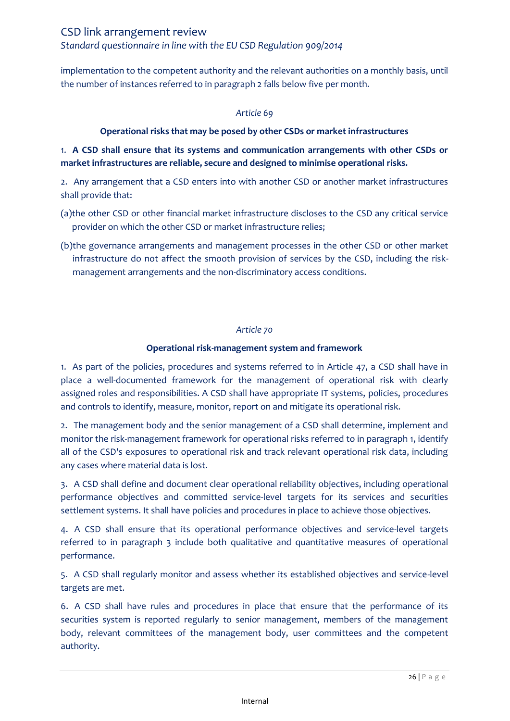CSD link arrangement review *Standard questionnaire in line with the EU CSD Regulation 909/2014*

implementation to the competent authority and the relevant authorities on a monthly basis, until the number of instances referred to in paragraph 2 falls below five per month.

#### *Article 69*

### **Operational risks that may be posed by other CSDs or market infrastructures**

## 1. **A CSD shall ensure that its systems and communication arrangements with other CSDs or market infrastructures are reliable, secure and designed to minimise operational risks.**

2. Any arrangement that a CSD enters into with another CSD or another market infrastructures shall provide that:

- (a)the other CSD or other financial market infrastructure discloses to the CSD any critical service provider on which the other CSD or market infrastructure relies;
- (b)the governance arrangements and management processes in the other CSD or other market infrastructure do not affect the smooth provision of services by the CSD, including the riskmanagement arrangements and the non-discriminatory access conditions.

#### *Article 70*

#### **Operational risk-management system and framework**

1. As part of the policies, procedures and systems referred to in Article 47, a CSD shall have in place a well-documented framework for the management of operational risk with clearly assigned roles and responsibilities. A CSD shall have appropriate IT systems, policies, procedures and controls to identify, measure, monitor, report on and mitigate its operational risk.

2. The management body and the senior management of a CSD shall determine, implement and monitor the risk-management framework for operational risks referred to in paragraph 1, identify all of the CSD's exposures to operational risk and track relevant operational risk data, including any cases where material data is lost.

3. A CSD shall define and document clear operational reliability objectives, including operational performance objectives and committed service-level targets for its services and securities settlement systems. It shall have policies and procedures in place to achieve those objectives.

4. A CSD shall ensure that its operational performance objectives and service-level targets referred to in paragraph 3 include both qualitative and quantitative measures of operational performance.

5. A CSD shall regularly monitor and assess whether its established objectives and service-level targets are met.

6. A CSD shall have rules and procedures in place that ensure that the performance of its securities system is reported regularly to senior management, members of the management body, relevant committees of the management body, user committees and the competent authority.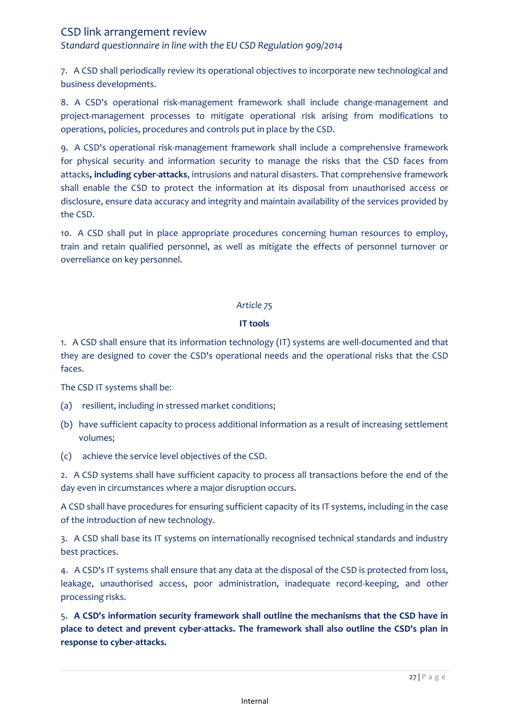*Standard questionnaire in line with the EU CSD Regulation 909/2014*

7. A CSD shall periodically review its operational objectives to incorporate new technological and business developments.

8. A CSD's operational risk-management framework shall include change-management and project-management processes to mitigate operational risk arising from modifications to operations, policies, procedures and controls put in place by the CSD.

9. A CSD's operational risk-management framework shall include a comprehensive framework for physical security and information security to manage the risks that the CSD faces from attacks**, including cyber-attacks**, intrusions and natural disasters. That comprehensive framework shall enable the CSD to protect the information at its disposal from unauthorised access or disclosure, ensure data accuracy and integrity and maintain availability of the services provided by the CSD.

10. A CSD shall put in place appropriate procedures concerning human resources to employ, train and retain qualified personnel, as well as mitigate the effects of personnel turnover or overreliance on key personnel.

#### *Article 75*

### **IT tools**

1. A CSD shall ensure that its information technology (IT) systems are well-documented and that they are designed to cover the CSD's operational needs and the operational risks that the CSD faces.

The CSD IT systems shall be:

- (a) resilient, including in stressed market conditions;
- (b) have sufficient capacity to process additional information as a result of increasing settlement volumes;
- (c) achieve the service level objectives of the CSD.

2. A CSD systems shall have sufficient capacity to process all transactions before the end of the day even in circumstances where a major disruption occurs.

A CSD shall have procedures for ensuring sufficient capacity of its IT systems, including in the case of the introduction of new technology.

3. A CSD shall base its IT systems on internationally recognised technical standards and industry best practices.

4. A CSD's IT systems shall ensure that any data at the disposal of the CSD is protected from loss, leakage, unauthorised access, poor administration, inadequate record-keeping, and other processing risks.

5. **A CSD's information security framework shall outline the mechanisms that the CSD have in place to detect and prevent cyber-attacks. The framework shall also outline the CSD's plan in response to cyber-attacks.**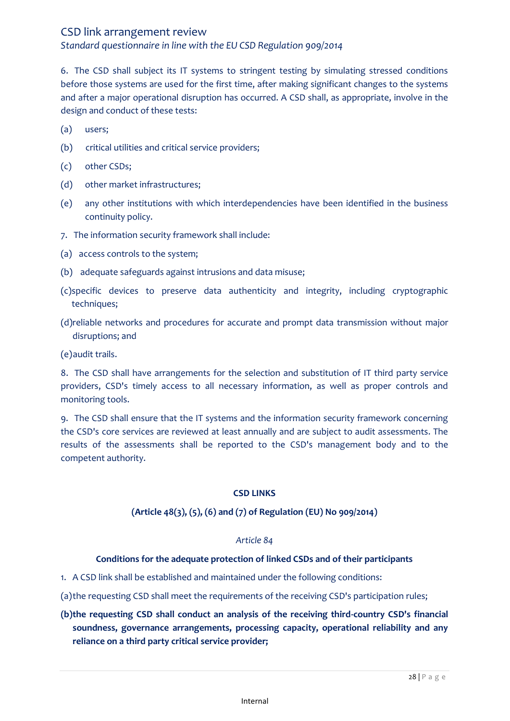*Standard questionnaire in line with the EU CSD Regulation 909/2014*

6. The CSD shall subject its IT systems to stringent testing by simulating stressed conditions before those systems are used for the first time, after making significant changes to the systems and after a major operational disruption has occurred. A CSD shall, as appropriate, involve in the design and conduct of these tests:

- (a) users;
- (b) critical utilities and critical service providers;
- (c) other CSDs;
- (d) other market infrastructures;
- (e) any other institutions with which interdependencies have been identified in the business continuity policy.
- 7. The information security framework shall include:
- (a) access controls to the system;
- (b) adequate safeguards against intrusions and data misuse;
- (c)specific devices to preserve data authenticity and integrity, including cryptographic techniques;
- (d)reliable networks and procedures for accurate and prompt data transmission without major disruptions; and

(e)audit trails.

8. The CSD shall have arrangements for the selection and substitution of IT third party service providers, CSD's timely access to all necessary information, as well as proper controls and monitoring tools.

9. The CSD shall ensure that the IT systems and the information security framework concerning the CSD's core services are reviewed at least annually and are subject to audit assessments. The results of the assessments shall be reported to the CSD's management body and to the competent authority.

#### **CSD LINKS**

#### **(Article 48(3), (5), (6) and (7) of Regulation (EU) No 909/2014)**

#### *Article 84*

#### **Conditions for the adequate protection of linked CSDs and of their participants**

- 1. A CSD link shall be established and maintained under the following conditions:
- (a)the requesting CSD shall meet the requirements of the receiving CSD's participation rules;

# **(b)the requesting CSD shall conduct an analysis of the receiving third-country CSD's financial soundness, governance arrangements, processing capacity, operational reliability and any reliance on a third party critical service provider;**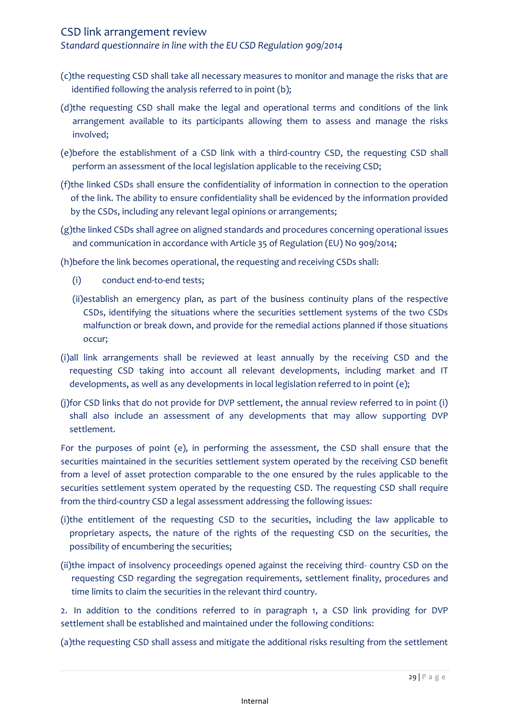*Standard questionnaire in line with the EU CSD Regulation 909/2014*

- (c)the requesting CSD shall take all necessary measures to monitor and manage the risks that are identified following the analysis referred to in point (b);
- (d)the requesting CSD shall make the legal and operational terms and conditions of the link arrangement available to its participants allowing them to assess and manage the risks involved;
- (e)before the establishment of a CSD link with a third-country CSD, the requesting CSD shall perform an assessment of the local legislation applicable to the receiving CSD;
- (f)the linked CSDs shall ensure the confidentiality of information in connection to the operation of the link. The ability to ensure confidentiality shall be evidenced by the information provided by the CSDs, including any relevant legal opinions or arrangements;
- (g)the linked CSDs shall agree on aligned standards and procedures concerning operational issues and communication in accordance with Article 35 of Regulation (EU) No 909/2014;

(h)before the link becomes operational, the requesting and receiving CSDs shall:

- (i) conduct end-to-end tests;
- (ii)establish an emergency plan, as part of the business continuity plans of the respective CSDs, identifying the situations where the securities settlement systems of the two CSDs malfunction or break down, and provide for the remedial actions planned if those situations occur;
- (i)all link arrangements shall be reviewed at least annually by the receiving CSD and the requesting CSD taking into account all relevant developments, including market and IT developments, as well as any developments in local legislation referred to in point (e);
- (j)for CSD links that do not provide for DVP settlement, the annual review referred to in point (i) shall also include an assessment of any developments that may allow supporting DVP settlement.

For the purposes of point (e), in performing the assessment, the CSD shall ensure that the securities maintained in the securities settlement system operated by the receiving CSD benefit from a level of asset protection comparable to the one ensured by the rules applicable to the securities settlement system operated by the requesting CSD. The requesting CSD shall require from the third-country CSD a legal assessment addressing the following issues:

- (i)the entitlement of the requesting CSD to the securities, including the law applicable to proprietary aspects, the nature of the rights of the requesting CSD on the securities, the possibility of encumbering the securities;
- (ii)the impact of insolvency proceedings opened against the receiving third- country CSD on the requesting CSD regarding the segregation requirements, settlement finality, procedures and time limits to claim the securities in the relevant third country.

2. In addition to the conditions referred to in paragraph 1, a CSD link providing for DVP settlement shall be established and maintained under the following conditions:

(a)the requesting CSD shall assess and mitigate the additional risks resulting from the settlement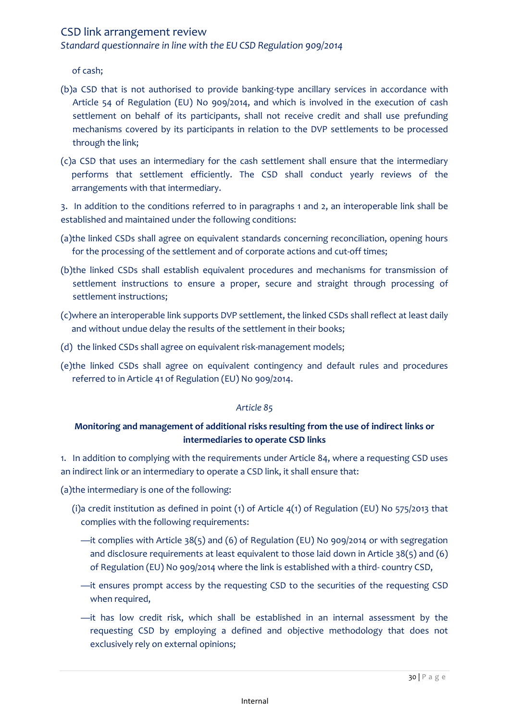*Standard questionnaire in line with the EU CSD Regulation 909/2014*

of cash;

- (b)a CSD that is not authorised to provide banking-type ancillary services in accordance with Article 54 of Regulation (EU) No 909/2014, and which is involved in the execution of cash settlement on behalf of its participants, shall not receive credit and shall use prefunding mechanisms covered by its participants in relation to the DVP settlements to be processed through the link;
- (c)a CSD that uses an intermediary for the cash settlement shall ensure that the intermediary performs that settlement efficiently. The CSD shall conduct yearly reviews of the arrangements with that intermediary.

3. In addition to the conditions referred to in paragraphs 1 and 2, an interoperable link shall be established and maintained under the following conditions:

- (a)the linked CSDs shall agree on equivalent standards concerning reconciliation, opening hours for the processing of the settlement and of corporate actions and cut-off times;
- (b)the linked CSDs shall establish equivalent procedures and mechanisms for transmission of settlement instructions to ensure a proper, secure and straight through processing of settlement instructions;
- (c)where an interoperable link supports DVP settlement, the linked CSDs shall reflect at least daily and without undue delay the results of the settlement in their books;
- (d) the linked CSDs shall agree on equivalent risk-management models;
- (e)the linked CSDs shall agree on equivalent contingency and default rules and procedures referred to in Article 41 of Regulation (EU) No 909/2014.

#### *Article 85*

## **Monitoring and management of additional risks resulting from the use of indirect links or intermediaries to operate CSD links**

1. In addition to complying with the requirements under Article 84, where a requesting CSD uses an indirect link or an intermediary to operate a CSD link, it shall ensure that:

(a)the intermediary is one of the following:

- (i)a credit institution as defined in point (1) of Article 4(1) of Regulation (EU) No 575/2013 that complies with the following requirements:
	- —it complies with Article 38(5) and (6) of Regulation (EU) No 909/2014 or with segregation and disclosure requirements at least equivalent to those laid down in Article 38(5) and (6) of Regulation (EU) No 909/2014 where the link is established with a third- country CSD,
	- —it ensures prompt access by the requesting CSD to the securities of the requesting CSD when required,
	- —it has low credit risk, which shall be established in an internal assessment by the requesting CSD by employing a defined and objective methodology that does not exclusively rely on external opinions;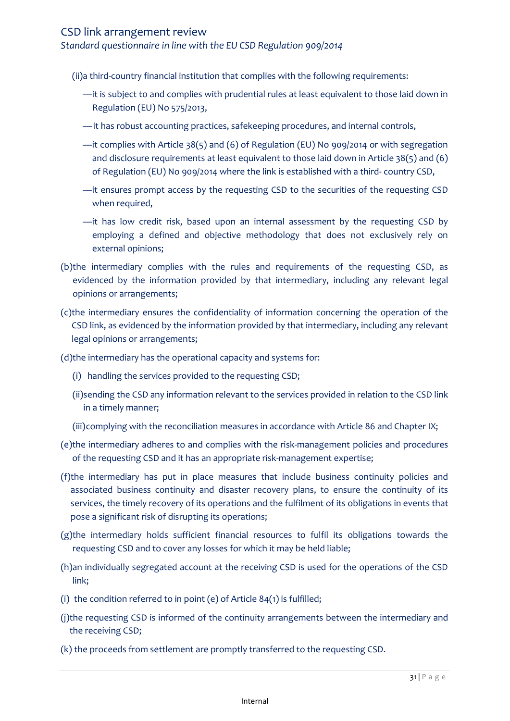*Standard questionnaire in line with the EU CSD Regulation 909/2014*

(ii)a third-country financial institution that complies with the following requirements:

- —it is subject to and complies with prudential rules at least equivalent to those laid down in Regulation (EU) No 575/2013,
- —it has robust accounting practices, safekeeping procedures, and internal controls,
- —it complies with Article 38(5) and (6) of Regulation (EU) No 909/2014 or with segregation and disclosure requirements at least equivalent to those laid down in Article 38(5) and (6) of Regulation (EU) No 909/2014 where the link is established with a third- country CSD,
- —it ensures prompt access by the requesting CSD to the securities of the requesting CSD when required,
- —it has low credit risk, based upon an internal assessment by the requesting CSD by employing a defined and objective methodology that does not exclusively rely on external opinions;
- (b)the intermediary complies with the rules and requirements of the requesting CSD, as evidenced by the information provided by that intermediary, including any relevant legal opinions or arrangements;
- (c)the intermediary ensures the confidentiality of information concerning the operation of the CSD link, as evidenced by the information provided by that intermediary, including any relevant legal opinions or arrangements;
- (d)the intermediary has the operational capacity and systems for:
	- (i) handling the services provided to the requesting CSD;
	- (ii)sending the CSD any information relevant to the services provided in relation to the CSD link in a timely manner;
	- (iii)complying with the reconciliation measures in accordance with Article 86 and Chapter IX;
- (e)the intermediary adheres to and complies with the risk-management policies and procedures of the requesting CSD and it has an appropriate risk-management expertise;
- (f)the intermediary has put in place measures that include business continuity policies and associated business continuity and disaster recovery plans, to ensure the continuity of its services, the timely recovery of its operations and the fulfilment of its obligations in events that pose a significant risk of disrupting its operations;
- (g)the intermediary holds sufficient financial resources to fulfil its obligations towards the requesting CSD and to cover any losses for which it may be held liable;
- (h)an individually segregated account at the receiving CSD is used for the operations of the CSD link;
- (i) the condition referred to in point (e) of Article  $84(1)$  is fulfilled;
- (j)the requesting CSD is informed of the continuity arrangements between the intermediary and the receiving CSD;
- (k) the proceeds from settlement are promptly transferred to the requesting CSD.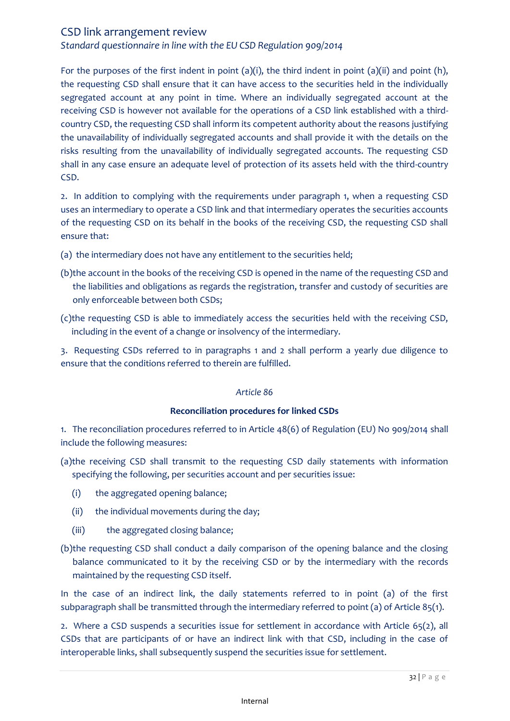*Standard questionnaire in line with the EU CSD Regulation 909/2014*

For the purposes of the first indent in point (a)(i), the third indent in point (a)(ii) and point (h), the requesting CSD shall ensure that it can have access to the securities held in the individually segregated account at any point in time. Where an individually segregated account at the receiving CSD is however not available for the operations of a CSD link established with a thirdcountry CSD, the requesting CSD shall inform its competent authority about the reasons justifying the unavailability of individually segregated accounts and shall provide it with the details on the risks resulting from the unavailability of individually segregated accounts. The requesting CSD shall in any case ensure an adequate level of protection of its assets held with the third-country CSD.

2. In addition to complying with the requirements under paragraph 1, when a requesting CSD uses an intermediary to operate a CSD link and that intermediary operates the securities accounts of the requesting CSD on its behalf in the books of the receiving CSD, the requesting CSD shall ensure that:

- (a) the intermediary does not have any entitlement to the securities held;
- (b)the account in the books of the receiving CSD is opened in the name of the requesting CSD and the liabilities and obligations as regards the registration, transfer and custody of securities are only enforceable between both CSDs;
- (c)the requesting CSD is able to immediately access the securities held with the receiving CSD, including in the event of a change or insolvency of the intermediary.

3. Requesting CSDs referred to in paragraphs 1 and 2 shall perform a yearly due diligence to ensure that the conditions referred to therein are fulfilled.

#### *Article 86*

#### **Reconciliation procedures for linked CSDs**

1. The reconciliation procedures referred to in Article 48(6) of Regulation (EU) No 909/2014 shall include the following measures:

- (a)the receiving CSD shall transmit to the requesting CSD daily statements with information specifying the following, per securities account and per securities issue:
	- (i) the aggregated opening balance;
	- (ii) the individual movements during the day;
	- (iii) the aggregated closing balance;
- (b)the requesting CSD shall conduct a daily comparison of the opening balance and the closing balance communicated to it by the receiving CSD or by the intermediary with the records maintained by the requesting CSD itself.

In the case of an indirect link, the daily statements referred to in point (a) of the first subparagraph shall be transmitted through the intermediary referred to point (a) of Article 85(1).

2. Where a CSD suspends a securities issue for settlement in accordance with Article 65(2), all CSDs that are participants of or have an indirect link with that CSD, including in the case of interoperable links, shall subsequently suspend the securities issue for settlement.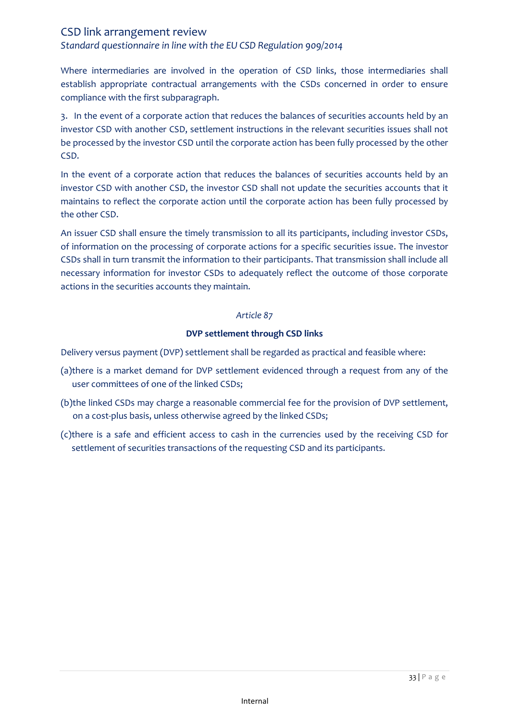*Standard questionnaire in line with the EU CSD Regulation 909/2014*

Where intermediaries are involved in the operation of CSD links, those intermediaries shall establish appropriate contractual arrangements with the CSDs concerned in order to ensure compliance with the first subparagraph.

3. In the event of a corporate action that reduces the balances of securities accounts held by an investor CSD with another CSD, settlement instructions in the relevant securities issues shall not be processed by the investor CSD until the corporate action has been fully processed by the other CSD.

In the event of a corporate action that reduces the balances of securities accounts held by an investor CSD with another CSD, the investor CSD shall not update the securities accounts that it maintains to reflect the corporate action until the corporate action has been fully processed by the other CSD.

An issuer CSD shall ensure the timely transmission to all its participants, including investor CSDs, of information on the processing of corporate actions for a specific securities issue. The investor CSDs shall in turn transmit the information to their participants. That transmission shall include all necessary information for investor CSDs to adequately reflect the outcome of those corporate actions in the securities accounts they maintain.

#### *Article 87*

### **DVP settlement through CSD links**

Delivery versus payment (DVP) settlement shall be regarded as practical and feasible where:

- (a)there is a market demand for DVP settlement evidenced through a request from any of the user committees of one of the linked CSDs;
- (b)the linked CSDs may charge a reasonable commercial fee for the provision of DVP settlement, on a cost-plus basis, unless otherwise agreed by the linked CSDs;
- (c)there is a safe and efficient access to cash in the currencies used by the receiving CSD for settlement of securities transactions of the requesting CSD and its participants.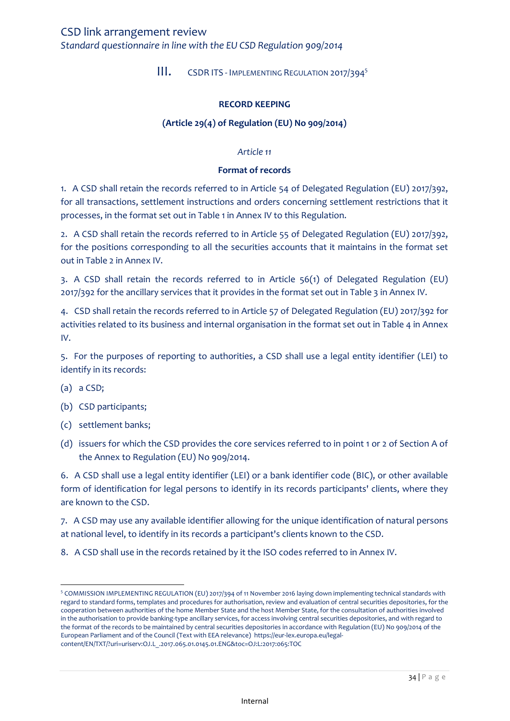<span id="page-33-0"></span>*Standard questionnaire in line with the EU CSD Regulation 909/2014*

III. CSDR ITS - IMPLEMENTING REGULATION 2017/394<sup>5</sup>

#### **RECORD KEEPING**

## **(Article 29(4) of Regulation (EU) No 909/2014)**

#### *Article 11*

#### **Format of records**

1. A CSD shall retain the records referred to in Article 54 of Delegated Regulation (EU) 2017/392, for all transactions, settlement instructions and orders concerning settlement restrictions that it processes, in the format set out in Table 1 in Annex IV to this Regulation.

2. A CSD shall retain the records referred to in Article 55 of Delegated Regulation (EU) 2017/392, for the positions corresponding to all the securities accounts that it maintains in the format set out in Table 2 in Annex IV.

3. A CSD shall retain the records referred to in Article 56(1) of Delegated Regulation (EU) 2017/392 for the ancillary services that it provides in the format set out in Table 3 in Annex IV.

4. CSD shall retain the records referred to in Article 57 of Delegated Regulation (EU) 2017/392 for activities related to its business and internal organisation in the format set out in Table 4 in Annex IV.

5. For the purposes of reporting to authorities, a CSD shall use a legal entity identifier (LEI) to identify in its records:

(a) a CSD;

 $\overline{\phantom{a}}$ 

- (b) CSD participants;
- (c) settlement banks;
- (d) issuers for which the CSD provides the core services referred to in point 1 or 2 of Section A of the Annex to Regulation (EU) No 909/2014.

6. A CSD shall use a legal entity identifier (LEI) or a bank identifier code (BIC), or other available form of identification for legal persons to identify in its records participants' clients, where they are known to the CSD.

7. A CSD may use any available identifier allowing for the unique identification of natural persons at national level, to identify in its records a participant's clients known to the CSD.

8. A CSD shall use in the records retained by it the ISO codes referred to in Annex IV.

<sup>&</sup>lt;sup>5</sup> COMMISSION IMPLEMENTING REGULATION (EU) 2017/394 of 11 November 2016 laying down implementing technical standards with regard to standard forms, templates and procedures for authorisation, review and evaluation of central securities depositories, for the cooperation between authorities of the home Member State and the host Member State, for the consultation of authorities involved in the authorisation to provide banking-type ancillary services, for access involving central securities depositories, and with regard to the format of the records to be maintained by central securities depositories in accordance with Regulation (EU) No 909/2014 of the European Parliament and of the Council (Text with EEA relevance) https://eur-lex.europa.eu/legalcontent/EN/TXT/?uri=uriserv:OJ.L\_.2017.065.01.0145.01.ENG&toc=OJ:L:2017:065:TOC